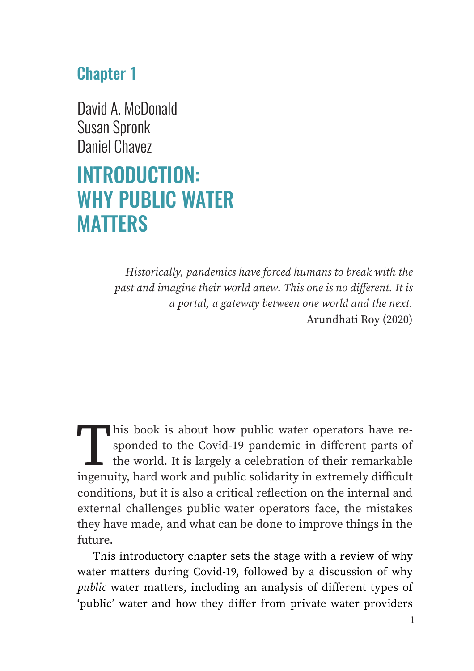## Chapter 1

David A. McDonald Susan Spronk Daniel Chavez

# INTRODUCTION: WHY PUBLIC WATER **MATTERS**

*Historically, pandemics have forced humans to break with the past and imagine their world anew. This one is no different. It is a portal, a gateway between one world and the next.* Arundhati Roy (2020)

This book is about how public water operators have responded to the Covid-19 pandemic in different parts of the world. It is largely a celebration of their remarkable ingenuity, hard work and public solidarity in extremely sponded to the Covid-19 pandemic in different parts of the world. It is largely a celebration of their remarkable ingenuity, hard work and public solidarity in extremely difficult conditions, but it is also a critical reflection on the internal and external challenges public water operators face, the mistakes they have made, and what can be done to improve things in the future.

This introductory chapter sets the stage with a review of why water matters during Covid-19, followed by a discussion of why *public* water matters, including an analysis of different types of 'public' water and how they differ from private water providers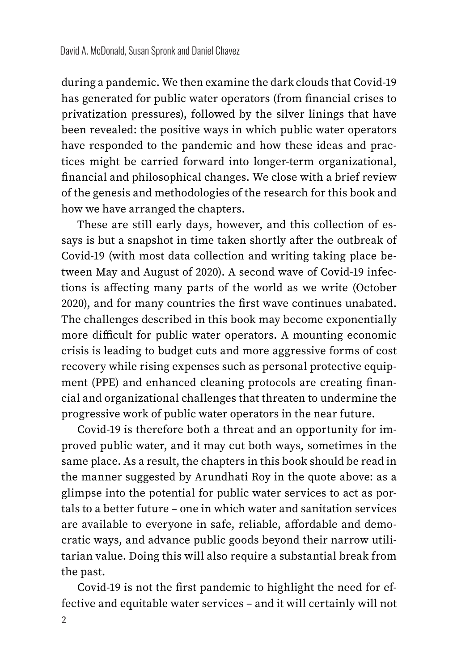during a pandemic. We then examine the dark clouds that Covid-19 has generated for public water operators (from financial crises to privatization pressures), followed by the silver linings that have been revealed: the positive ways in which public water operators have responded to the pandemic and how these ideas and practices might be carried forward into longer-term organizational, financial and philosophical changes. We close with a brief review of the genesis and methodologies of the research for this book and how we have arranged the chapters.

These are still early days, however, and this collection of essays is but a snapshot in time taken shortly after the outbreak of Covid-19 (with most data collection and writing taking place between May and August of 2020). A second wave of Covid-19 infections is affecting many parts of the world as we write (October 2020), and for many countries the first wave continues unabated. The challenges described in this book may become exponentially more difficult for public water operators. A mounting economic crisis is leading to budget cuts and more aggressive forms of cost recovery while rising expenses such as personal protective equipment (PPE) and enhanced cleaning protocols are creating financial and organizational challenges that threaten to undermine the progressive work of public water operators in the near future.

Covid-19 is therefore both a threat and an opportunity for improved public water, and it may cut both ways, sometimes in the same place. As a result, the chapters in this book should be read in the manner suggested by Arundhati Roy in the quote above: as a glimpse into the potential for public water services to act as portals to a better future – one in which water and sanitation services are available to everyone in safe, reliable, affordable and democratic ways, and advance public goods beyond their narrow utilitarian value. Doing this will also require a substantial break from the past.

Covid-19 is not the first pandemic to highlight the need for effective and equitable water services – and it will certainly will not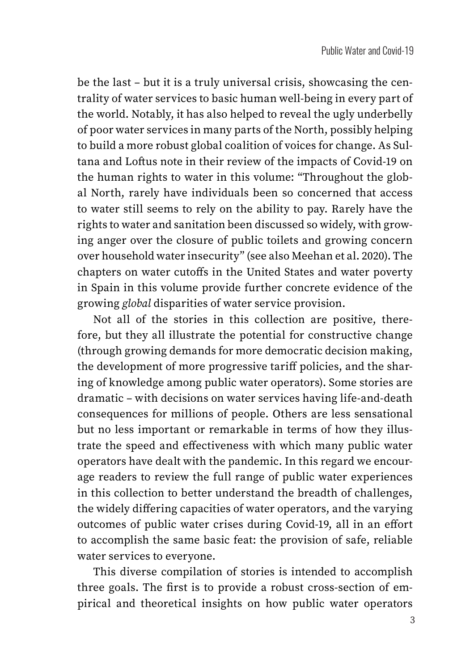be the last – but it is a truly universal crisis, showcasing the centrality of water services to basic human well-being in every part of the world. Notably, it has also helped to reveal the ugly underbelly of poor water services in many parts of the North, possibly helping to build a more robust global coalition of voices for change. As Sultana and Loftus note in their review of the impacts of Covid-19 on the human rights to water in this volume: "Throughout the global North, rarely have individuals been so concerned that access to water still seems to rely on the ability to pay. Rarely have the rights to water and sanitation been discussed so widely, with growing anger over the closure of public toilets and growing concern over household water insecurity" (see also Meehan et al. 2020). The chapters on water cutoffs in the United States and water poverty in Spain in this volume provide further concrete evidence of the growing *global* disparities of water service provision.

Not all of the stories in this collection are positive, therefore, but they all illustrate the potential for constructive change (through growing demands for more democratic decision making, the development of more progressive tariff policies, and the sharing of knowledge among public water operators). Some stories are dramatic – with decisions on water services having life-and-death consequences for millions of people. Others are less sensational but no less important or remarkable in terms of how they illustrate the speed and effectiveness with which many public water operators have dealt with the pandemic. In this regard we encourage readers to review the full range of public water experiences in this collection to better understand the breadth of challenges, the widely differing capacities of water operators, and the varying outcomes of public water crises during Covid-19, all in an effort to accomplish the same basic feat: the provision of safe, reliable water services to everyone.

This diverse compilation of stories is intended to accomplish three goals. The first is to provide a robust cross-section of empirical and theoretical insights on how public water operators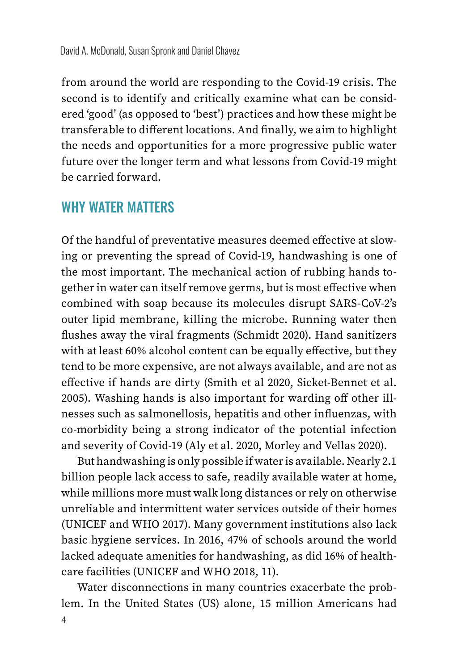from around the world are responding to the Covid-19 crisis. The second is to identify and critically examine what can be considered 'good' (as opposed to 'best') practices and how these might be transferable to different locations. And finally, we aim to highlight the needs and opportunities for a more progressive public water future over the longer term and what lessons from Covid-19 might be carried forward.

#### WHY WATER MATTERS

Of the handful of preventative measures deemed effective at slowing or preventing the spread of Covid-19, handwashing is one of the most important. The mechanical action of rubbing hands together in water can itself remove germs, but is most effective when combined with soap because its molecules disrupt SARS-CoV-2's outer lipid membrane, killing the microbe. Running water then flushes away the viral fragments (Schmidt 2020). Hand sanitizers with at least 60% alcohol content can be equally effective, but they tend to be more expensive, are not always available, and are not as effective if hands are dirty (Smith et al 2020, Sicket-Bennet et al. 2005). Washing hands is also important for warding off other illnesses such as salmonellosis, hepatitis and other influenzas, with co-morbidity being a strong indicator of the potential infection and severity of Covid-19 (Aly et al. 2020, Morley and Vellas 2020).

But handwashing is only possible if water is available. Nearly 2.1 billion people lack access to safe, readily available water at home, while millions more must walk long distances or rely on otherwise unreliable and intermittent water services outside of their homes (UNICEF and WHO 2017). Many government institutions also lack basic hygiene services. In 2016, 47% of schools around the world lacked adequate amenities for handwashing, as did 16% of healthcare facilities (UNICEF and WHO 2018, 11).

Water disconnections in many countries exacerbate the problem. In the United States (US) alone, 15 million Americans had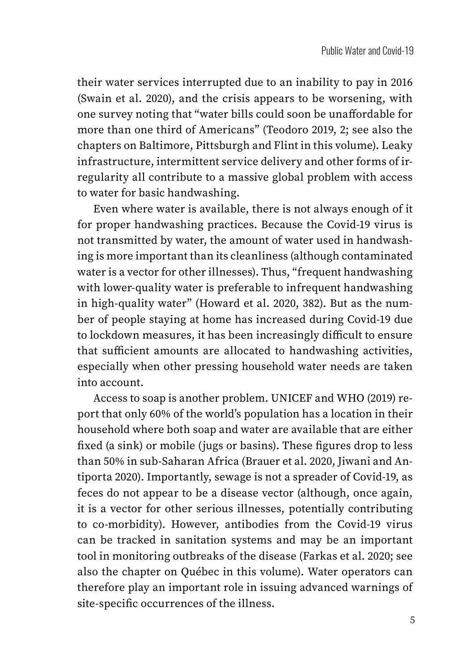their water services interrupted due to an inability to pay in 2016 (Swain et al. 2020), and the crisis appears to be worsening, with one survey noting that "water bills could soon be unaffordable for more than one third of Americans" (Teodoro 2019, 2; see also the chapters on Baltimore, Pittsburgh and Flint in this volume). Leaky infrastructure, intermittent service delivery and other forms of irregularity all contribute to a massive global problem with access to water for basic handwashing.

Even where water is available, there is not always enough of it for proper handwashing practices. Because the Covid-19 virus is not transmitted by water, the amount of water used in handwashing is more important than its cleanliness (although contaminated water is a vector for other illnesses). Thus, "frequent handwashing with lower-quality water is preferable to infrequent handwashing in high-quality water" (Howard et al. 2020, 382). But as the number of people staying at home has increased during Covid-19 due to lockdown measures, it has been increasingly difficult to ensure that sufficient amounts are allocated to handwashing activities, especially when other pressing household water needs are taken into account.

Access to soap is another problem. UNICEF and WHO (2019) report that only 60% of the world's population has a location in their household where both soap and water are available that are either fixed (a sink) or mobile (jugs or basins). These figures drop to less than 50% in sub-Saharan Africa (Brauer et al. 2020, Jiwani and Antiporta 2020). Importantly, sewage is not a spreader of Covid-19, as feces do not appear to be a disease vector (although, once again, it is a vector for other serious illnesses, potentially contributing to co-morbidity). However, antibodies from the Covid-19 virus can be tracked in sanitation systems and may be an important tool in monitoring outbreaks of the disease (Farkas et al. 2020; see also the chapter on Québec in this volume). Water operators can therefore play an important role in issuing advanced warnings of site-specific occurrences of the illness.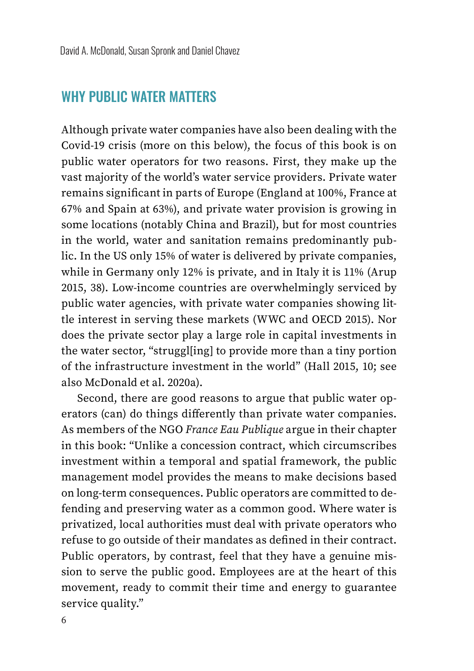#### WHY PUBLIC WATER MATTERS

Although private water companies have also been dealing with the Covid-19 crisis (more on this below), the focus of this book is on public water operators for two reasons. First, they make up the vast majority of the world's water service providers. Private water remains significant in parts of Europe (England at 100%, France at 67% and Spain at 63%), and private water provision is growing in some locations (notably China and Brazil), but for most countries in the world, water and sanitation remains predominantly public. In the US only 15% of water is delivered by private companies, while in Germany only 12% is private, and in Italy it is 11% (Arup 2015, 38). Low-income countries are overwhelmingly serviced by public water agencies, with private water companies showing little interest in serving these markets (WWC and OECD 2015). Nor does the private sector play a large role in capital investments in the water sector, "struggl[ing] to provide more than a tiny portion of the infrastructure investment in the world" (Hall 2015, 10; see also McDonald et al. 2020a).

Second, there are good reasons to argue that public water operators (can) do things differently than private water companies. As members of the NGO *France Eau Publique* argue in their chapter in this book: "Unlike a concession contract, which circumscribes investment within a temporal and spatial framework, the public management model provides the means to make decisions based on long-term consequences. Public operators are committed to defending and preserving water as a common good. Where water is privatized, local authorities must deal with private operators who refuse to go outside of their mandates as defined in their contract. Public operators, by contrast, feel that they have a genuine mission to serve the public good. Employees are at the heart of this movement, ready to commit their time and energy to guarantee service quality."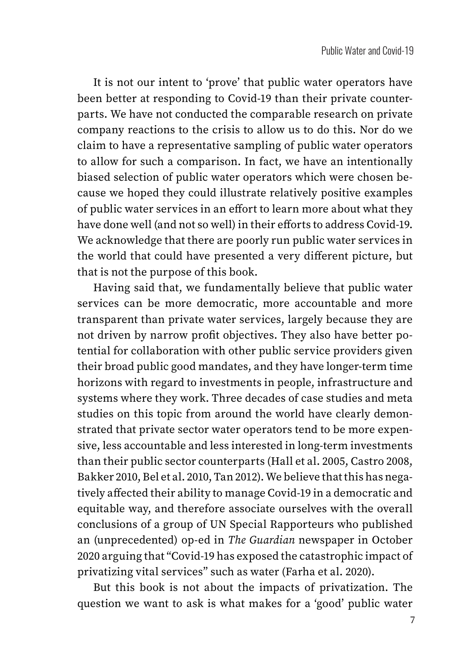It is not our intent to 'prove' that public water operators have been better at responding to Covid-19 than their private counterparts. We have not conducted the comparable research on private company reactions to the crisis to allow us to do this. Nor do we claim to have a representative sampling of public water operators to allow for such a comparison. In fact, we have an intentionally biased selection of public water operators which were chosen because we hoped they could illustrate relatively positive examples of public water services in an effort to learn more about what they have done well (and not so well) in their efforts to address Covid-19. We acknowledge that there are poorly run public water services in the world that could have presented a very different picture, but that is not the purpose of this book.

Having said that, we fundamentally believe that public water services can be more democratic, more accountable and more transparent than private water services, largely because they are not driven by narrow profit objectives. They also have better potential for collaboration with other public service providers given their broad public good mandates, and they have longer-term time horizons with regard to investments in people, infrastructure and systems where they work. Three decades of case studies and meta studies on this topic from around the world have clearly demonstrated that private sector water operators tend to be more expensive, less accountable and less interested in long-term investments than their public sector counterparts (Hall et al. 2005, Castro 2008, Bakker 2010, Bel et al. 2010, Tan 2012). We believe that this has negatively affected their ability to manage Covid-19 in a democratic and equitable way, and therefore associate ourselves with the overall conclusions of a group of UN Special Rapporteurs who published an (unprecedented) op-ed in *The Guardian* newspaper in October 2020 arguing that "Covid-19 has exposed the catastrophic impact of privatizing vital services" such as water (Farha et al. 2020).

But this book is not about the impacts of privatization. The question we want to ask is what makes for a 'good' public water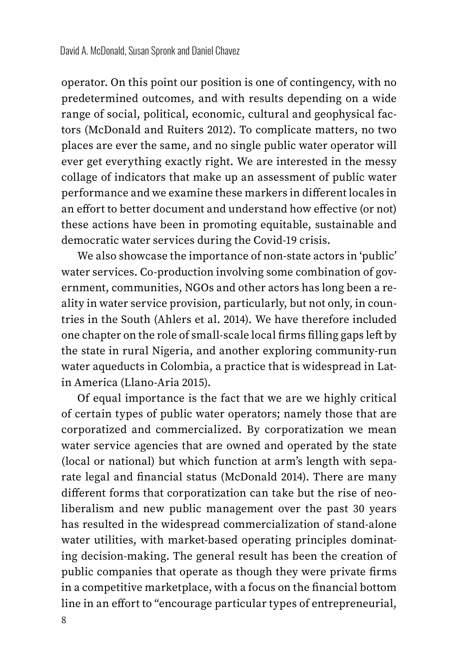operator. On this point our position is one of contingency, with no predetermined outcomes, and with results depending on a wide range of social, political, economic, cultural and geophysical factors (McDonald and Ruiters 2012). To complicate matters, no two places are ever the same, and no single public water operator will ever get everything exactly right. We are interested in the messy collage of indicators that make up an assessment of public water performance and we examine these markers in different locales in an effort to better document and understand how effective (or not) these actions have been in promoting equitable, sustainable and democratic water services during the Covid-19 crisis.

We also showcase the importance of non-state actors in 'public' water services. Co-production involving some combination of government, communities, NGOs and other actors has long been a reality in water service provision, particularly, but not only, in countries in the South (Ahlers et al. 2014). We have therefore included one chapter on the role of small-scale local firms filling gaps left by the state in rural Nigeria, and another exploring community-run water aqueducts in Colombia, a practice that is widespread in Latin America (Llano-Aria 2015).

Of equal importance is the fact that we are we highly critical of certain types of public water operators; namely those that are corporatized and commercialized. By corporatization we mean water service agencies that are owned and operated by the state (local or national) but which function at arm's length with separate legal and financial status (McDonald 2014). There are many different forms that corporatization can take but the rise of neoliberalism and new public management over the past 30 years has resulted in the widespread commercialization of stand-alone water utilities, with market-based operating principles dominating decision-making. The general result has been the creation of public companies that operate as though they were private firms in a competitive marketplace, with a focus on the financial bottom line in an effort to "encourage particular types of entrepreneurial,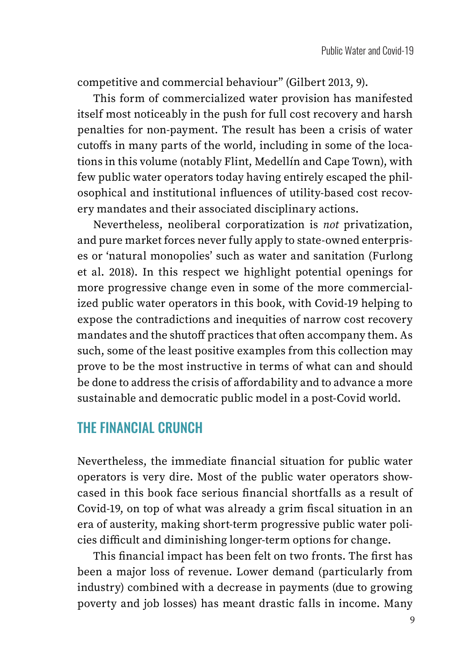competitive and commercial behaviour" (Gilbert 2013, 9).

This form of commercialized water provision has manifested itself most noticeably in the push for full cost recovery and harsh penalties for non-payment. The result has been a crisis of water cutoffs in many parts of the world, including in some of the locations in this volume (notably Flint, Medellín and Cape Town), with few public water operators today having entirely escaped the philosophical and institutional influences of utility-based cost recovery mandates and their associated disciplinary actions.

Nevertheless, neoliberal corporatization is *not* privatization, and pure market forces never fully apply to state-owned enterprises or 'natural monopolies' such as water and sanitation (Furlong et al. 2018). In this respect we highlight potential openings for more progressive change even in some of the more commercialized public water operators in this book, with Covid-19 helping to expose the contradictions and inequities of narrow cost recovery mandates and the shutoff practices that often accompany them. As such, some of the least positive examples from this collection may prove to be the most instructive in terms of what can and should be done to address the crisis of affordability and to advance a more sustainable and democratic public model in a post-Covid world.

## THE FINANCIAL CRUNCH

Nevertheless, the immediate financial situation for public water operators is very dire. Most of the public water operators showcased in this book face serious financial shortfalls as a result of Covid-19, on top of what was already a grim fiscal situation in an era of austerity, making short-term progressive public water policies difficult and diminishing longer-term options for change.

This financial impact has been felt on two fronts. The first has been a major loss of revenue. Lower demand (particularly from industry) combined with a decrease in payments (due to growing poverty and job losses) has meant drastic falls in income. Many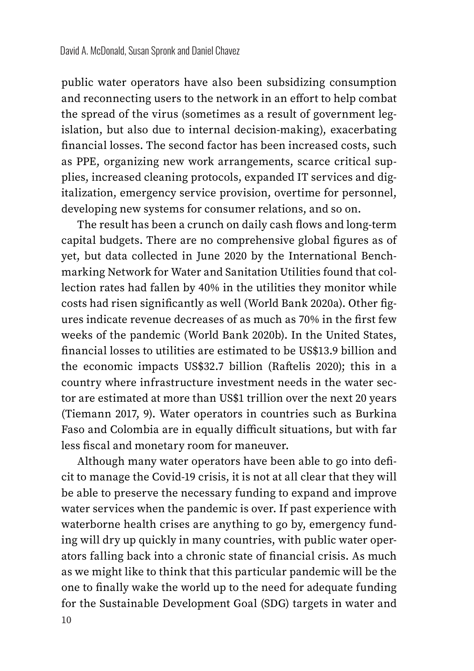public water operators have also been subsidizing consumption and reconnecting users to the network in an effort to help combat the spread of the virus (sometimes as a result of government legislation, but also due to internal decision-making), exacerbating financial losses. The second factor has been increased costs, such as PPE, organizing new work arrangements, scarce critical supplies, increased cleaning protocols, expanded IT services and digitalization, emergency service provision, overtime for personnel, developing new systems for consumer relations, and so on.

The result has been a crunch on daily cash flows and long-term capital budgets. There are no comprehensive global figures as of yet, but data collected in June 2020 by the International Benchmarking Network for Water and Sanitation Utilities found that collection rates had fallen by 40% in the utilities they monitor while costs had risen significantly as well (World Bank 2020a). Other figures indicate revenue decreases of as much as  $70\%$  in the first few weeks of the pandemic (World Bank 2020b). In the United States, financial losses to utilities are estimated to be US\$13.9 billion and the economic impacts US\$32.7 billion (Raftelis 2020); this in a country where infrastructure investment needs in the water sector are estimated at more than US\$1 trillion over the next 20 years (Tiemann 2017, 9). Water operators in countries such as Burkina Faso and Colombia are in equally difficult situations, but with far less fiscal and monetary room for maneuver.

Although many water operators have been able to go into deficit to manage the Covid-19 crisis, it is not at all clear that they will be able to preserve the necessary funding to expand and improve water services when the pandemic is over. If past experience with waterborne health crises are anything to go by, emergency funding will dry up quickly in many countries, with public water operators falling back into a chronic state of financial crisis. As much as we might like to think that this particular pandemic will be the one to finally wake the world up to the need for adequate funding for the Sustainable Development Goal (SDG) targets in water and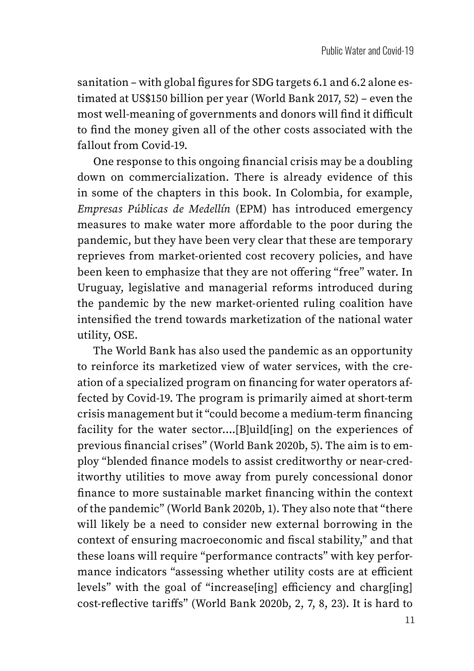sanitation – with global figures for SDG targets 6.1 and 6.2 alone estimated at US\$150 billion per year (World Bank 2017, 52) – even the most well-meaning of governments and donors will find it difficult to find the money given all of the other costs associated with the fallout from Covid-19.

One response to this ongoing financial crisis may be a doubling down on commercialization. There is already evidence of this in some of the chapters in this book. In Colombia, for example, *Empresas Públicas de Medellín* (EPM) has introduced emergency measures to make water more affordable to the poor during the pandemic, but they have been very clear that these are temporary reprieves from market-oriented cost recovery policies, and have been keen to emphasize that they are not offering "free" water. In Uruguay, legislative and managerial reforms introduced during the pandemic by the new market-oriented ruling coalition have intensified the trend towards marketization of the national water utility, OSE.

The World Bank has also used the pandemic as an opportunity to reinforce its marketized view of water services, with the creation of a specialized program on financing for water operators affected by Covid-19. The program is primarily aimed at short-term crisis management but it "could become a medium-term financing facility for the water sector….[B]uild[ing] on the experiences of previous financial crises" (World Bank 2020b, 5). The aim is to employ "blended finance models to assist creditworthy or near-creditworthy utilities to move away from purely concessional donor finance to more sustainable market financing within the context of the pandemic" (World Bank 2020b, 1). They also note that "there will likely be a need to consider new external borrowing in the context of ensuring macroeconomic and fiscal stability," and that these loans will require "performance contracts" with key performance indicators "assessing whether utility costs are at efficient levels" with the goal of "increase[ing] efficiency and charg[ing] cost-reflective tariffs" (World Bank 2020b, 2, 7, 8, 23). It is hard to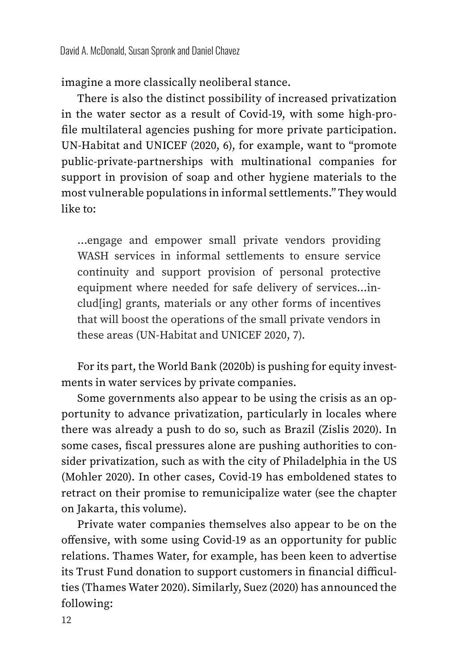imagine a more classically neoliberal stance.

There is also the distinct possibility of increased privatization in the water sector as a result of Covid-19, with some high-pro file multilateral agencies pushing for more private participation. UN-Habitat and UNICEF (2020, 6), for example, want to "promote public-private-partnerships with multinational companies for support in provision of soap and other hygiene materials to the most vulnerable populations in informal settlements." They would like to:

…engage and empower small private vendors providing WASH services in informal settlements to ensure service continuity and support provision of personal protective equipment where needed for safe delivery of services…includ[ing] grants, materials or any other forms of incentives that will boost the operations of the small private vendors in these areas (UN-Habitat and UNICEF 2020, 7).

For its part, the World Bank (2020b) is pushing for equity investments in water services by private companies.

Some governments also appear to be using the crisis as an opportunity to advance privatization, particularly in locales where there was already a push to do so, such as Brazil (Zislis 2020). In some cases, fiscal pressures alone are pushing authorities to consider privatization, such as with the city of Philadelphia in the US (Mohler 2020). In other cases, Covid-19 has emboldened states to retract on their promise to remunicipalize water (see the chapter on Jakarta, this volume).

Private water companies themselves also appear to be on the offensive, with some using Covid-19 as an opportunity for public relations. Thames Water, for example, has been keen to advertise its Trust Fund donation to support customers in financial difficulties (Thames Water 2020). Similarly, Suez (2020) has announced the following: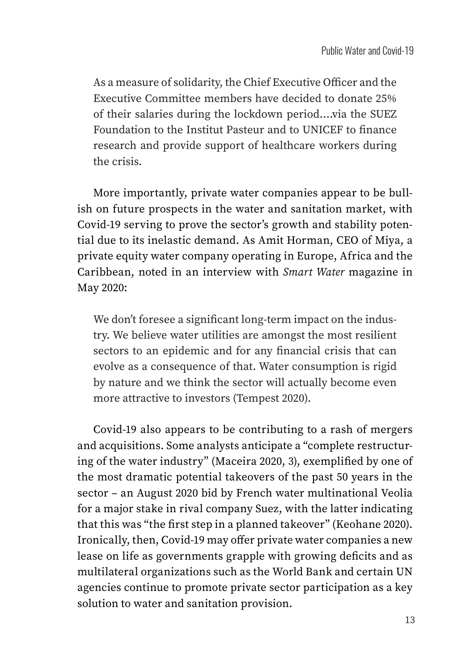As a measure of solidarity, the Chief Executive Officer and the Executive Committee members have decided to donate 25% of their salaries during the lockdown period….via the SUEZ Foundation to the Institut Pasteur and to UNICEF to finance research and provide support of healthcare workers during the crisis.

More importantly, private water companies appear to be bullish on future prospects in the water and sanitation market, with Covid-19 serving to prove the sector's growth and stability potential due to its inelastic demand. As Amit Horman, CEO of Miya, a private equity water company operating in Europe, Africa and the Caribbean, noted in an interview with *Smart Water* magazine in May 2020:

We don't foresee a significant long-term impact on the industry. We believe water utilities are amongst the most resilient sectors to an epidemic and for any financial crisis that can evolve as a consequence of that. Water consumption is rigid by nature and we think the sector will actually become even more attractive to investors (Tempest 2020).

Covid-19 also appears to be contributing to a rash of mergers and acquisitions. Some analysts anticipate a "complete restructuring of the water industry" (Maceira 2020, 3), exemplified by one of the most dramatic potential takeovers of the past 50 years in the sector – an August 2020 bid by French water multinational Veolia for a major stake in rival company Suez, with the latter indicating that this was "the first step in a planned takeover" (Keohane 2020). Ironically, then, Covid-19 may offer private water companies a new lease on life as governments grapple with growing deficits and as multilateral organizations such as the World Bank and certain UN agencies continue to promote private sector participation as a key solution to water and sanitation provision.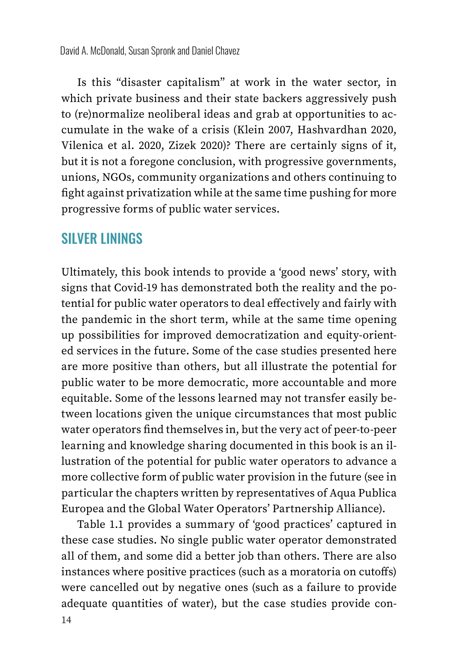Is this "disaster capitalism" at work in the water sector, in which private business and their state backers aggressively push to (re)normalize neoliberal ideas and grab at opportunities to accumulate in the wake of a crisis (Klein 2007, Hashvardhan 2020, Vilenica et al. 2020, Zizek 2020)? There are certainly signs of it, but it is not a foregone conclusion, with progressive governments, unions, NGOs, community organizations and others continuing to fight against privatization while at the same time pushing for more progressive forms of public water services.

### SILVER LININGS

Ultimately, this book intends to provide a 'good news' story, with signs that Covid-19 has demonstrated both the reality and the potential for public water operators to deal effectively and fairly with the pandemic in the short term, while at the same time opening up possibilities for improved democratization and equity-oriented services in the future. Some of the case studies presented here are more positive than others, but all illustrate the potential for public water to be more democratic, more accountable and more equitable. Some of the lessons learned may not transfer easily between locations given the unique circumstances that most public water operators find themselves in, but the very act of peer-to-peer learning and knowledge sharing documented in this book is an illustration of the potential for public water operators to advance a more collective form of public water provision in the future (see in particular the chapters written by representatives of Aqua Publica Europea and the Global Water Operators' Partnership Alliance).

Table 1.1 provides a summary of 'good practices' captured in these case studies. No single public water operator demonstrated all of them, and some did a better job than others. There are also instances where positive practices (such as a moratoria on cutoffs) were cancelled out by negative ones (such as a failure to provide adequate quantities of water), but the case studies provide con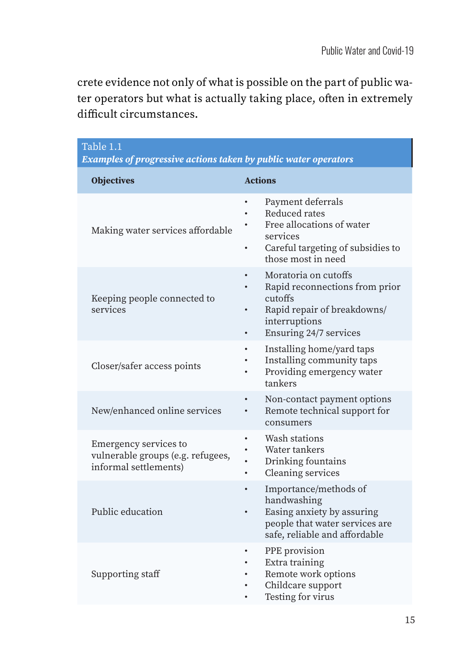crete evidence not only of what is possible on the part of public water operators but what is actually taking place, often in extremely difficult circumstances.

| Table 1.1<br>Examples of progressive actions taken by public water operators        |                                                                                                                                                          |  |
|-------------------------------------------------------------------------------------|----------------------------------------------------------------------------------------------------------------------------------------------------------|--|
| <b>Objectives</b>                                                                   | <b>Actions</b>                                                                                                                                           |  |
| Making water services affordable                                                    | Payment deferrals<br>Reduced rates<br>Free allocations of water<br>$\bullet$<br>services<br>Careful targeting of subsidies to<br>those most in need      |  |
| Keeping people connected to<br>services                                             | Moratoria on cutoffs<br>Rapid reconnections from prior<br>cutoffs<br>Rapid repair of breakdowns/<br>interruptions<br>Ensuring 24/7 services<br>$\bullet$ |  |
| Closer/safer access points                                                          | Installing home/yard taps<br>$\bullet$<br>Installing community taps<br>Providing emergency water<br>tankers                                              |  |
| New/enhanced online services                                                        | Non-contact payment options<br>$\bullet$<br>Remote technical support for<br>consumers                                                                    |  |
| Emergency services to<br>vulnerable groups (e.g. refugees,<br>informal settlements) | Wash stations<br>$\bullet$<br>Water tankers<br>Drinking fountains<br>Cleaning services                                                                   |  |
| Public education                                                                    | Importance/methods of<br>$\bullet$<br>handwashing<br>Easing anxiety by assuring<br>people that water services are<br>safe, reliable and affordable       |  |
| Supporting staff                                                                    | PPE provision<br>$\bullet$<br>Extra training<br>Remote work options<br>Childcare support<br>Testing for virus                                            |  |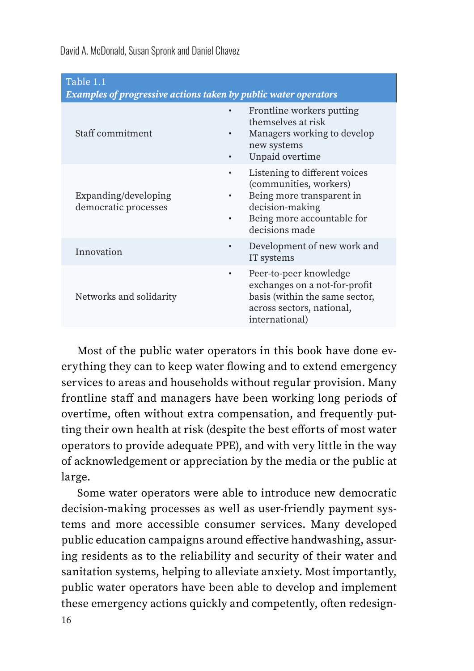| Table 1.1<br><b>Examples of progressive actions taken by public water operators</b> |                                                                                                                                                         |
|-------------------------------------------------------------------------------------|---------------------------------------------------------------------------------------------------------------------------------------------------------|
| Staff commitment                                                                    | Frontline workers putting<br>themselves at risk<br>Managers working to develop<br>new systems<br>Unpaid overtime                                        |
| Expanding/developing<br>democratic processes                                        | Listening to different voices<br>(communities, workers)<br>Being more transparent in<br>decision-making<br>Being more accountable for<br>decisions made |
| Innovation                                                                          | Development of new work and<br>IT systems                                                                                                               |
| Networks and solidarity                                                             | Peer-to-peer knowledge<br>$\bullet$<br>exchanges on a not-for-profit<br>basis (within the same sector,<br>across sectors, national,<br>international)   |

Most of the public water operators in this book have done everything they can to keep water flowing and to extend emergency services to areas and households without regular provision. Many frontline staff and managers have been working long periods of overtime, often without extra compensation, and frequently putting their own health at risk (despite the best efforts of most water operators to provide adequate PPE), and with very little in the way of acknowledgement or appreciation by the media or the public at large.

Some water operators were able to introduce new democratic decision-making processes as well as user-friendly payment systems and more accessible consumer services. Many developed public education campaigns around effective handwashing, assuring residents as to the reliability and security of their water and sanitation systems, helping to alleviate anxiety. Most importantly, public water operators have been able to develop and implement these emergency actions quickly and competently, often redesign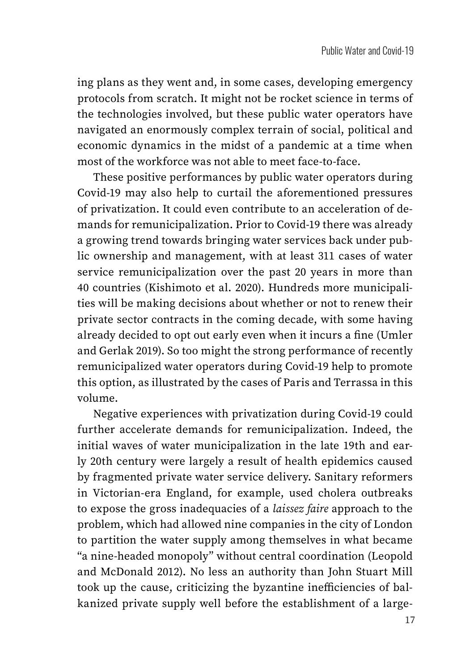ing plans as they went and, in some cases, developing emergency protocols from scratch. It might not be rocket science in terms of the technologies involved, but these public water operators have navigated an enormously complex terrain of social, political and economic dynamics in the midst of a pandemic at a time when most of the workforce was not able to meet face-to-face.

These positive performances by public water operators during Covid-19 may also help to curtail the aforementioned pressures of privatization. It could even contribute to an acceleration of demands for remunicipalization. Prior to Covid-19 there was already a growing trend towards bringing water services back under public ownership and management, with at least 311 cases of water service remunicipalization over the past 20 years in more than 40 countries (Kishimoto et al. 2020). Hundreds more municipalities will be making decisions about whether or not to renew their private sector contracts in the coming decade, with some having already decided to opt out early even when it incurs a fine (Umler and Gerlak 2019). So too might the strong performance of recently remunicipalized water operators during Covid-19 help to promote this option, as illustrated by the cases of Paris and Terrassa in this volume.

Negative experiences with privatization during Covid-19 could further accelerate demands for remunicipalization. Indeed, the initial waves of water municipalization in the late 19th and early 20th century were largely a result of health epidemics caused by fragmented private water service delivery. Sanitary reformers in Victorian-era England, for example, used cholera outbreaks to expose the gross inadequacies of a *laissez faire* approach to the problem, which had allowed nine companies in the city of London to partition the water supply among themselves in what became "a nine-headed monopoly" without central coordination (Leopold and McDonald 2012). No less an authority than John Stuart Mill took up the cause, criticizing the byzantine inefficiencies of balkanized private supply well before the establishment of a large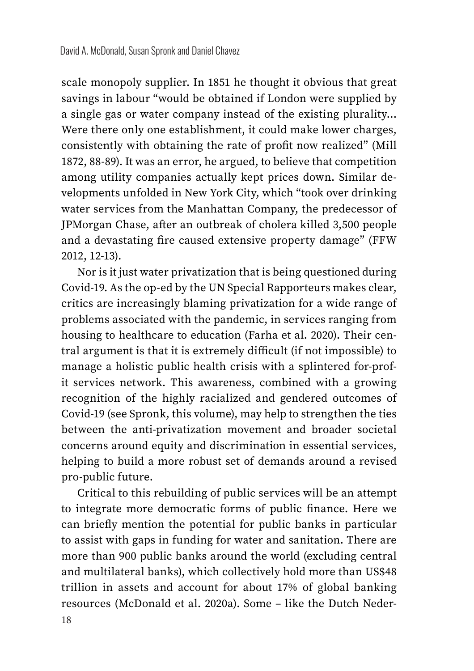scale monopoly supplier. In 1851 he thought it obvious that great savings in labour "would be obtained if London were supplied by a single gas or water company instead of the existing plurality… Were there only one establishment, it could make lower charges, consistently with obtaining the rate of profit now realized" (Mill 1872, 88-89). It was an error, he argued, to believe that competition among utility companies actually kept prices down. Similar developments unfolded in New York City, which "took over drinking water services from the Manhattan Company, the predecessor of JPMorgan Chase, after an outbreak of cholera killed 3,500 people and a devastating fire caused extensive property damage" (FFW 2012, 12-13).

Nor is it just water privatization that is being questioned during Covid-19. As the op-ed by the UN Special Rapporteurs makes clear, critics are increasingly blaming privatization for a wide range of problems associated with the pandemic, in services ranging from housing to healthcare to education (Farha et al. 2020). Their central argument is that it is extremely difficult (if not impossible) to manage a holistic public health crisis with a splintered for-profit services network. This awareness, combined with a growing recognition of the highly racialized and gendered outcomes of Covid-19 (see Spronk, this volume), may help to strengthen the ties between the anti-privatization movement and broader societal concerns around equity and discrimination in essential services, helping to build a more robust set of demands around a revised pro-public future.

Critical to this rebuilding of public services will be an attempt to integrate more democratic forms of public finance. Here we can briefly mention the potential for public banks in particular to assist with gaps in funding for water and sanitation. There are more than 900 public banks around the world (excluding central and multilateral banks), which collectively hold more than US\$48 trillion in assets and account for about 17% of global banking resources (McDonald et al. 2020a). Some – like the Dutch Neder-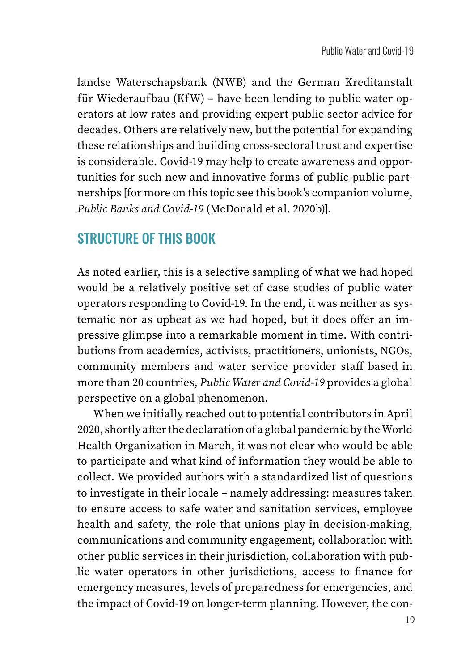landse Waterschapsbank (NWB) and the German Kreditanstalt für Wiederaufbau (KfW) – have been lending to public water operators at low rates and providing expert public sector advice for decades. Others are relatively new, but the potential for expanding these relationships and building cross-sectoral trust and expertise is considerable. Covid-19 may help to create awareness and opportunities for such new and innovative forms of public-public partnerships [for more on this topic see this book's companion volume, *Public Banks and Covid-19* (McDonald et al. 2020b)].

## STRUCTURE OF THIS BOOK

As noted earlier, this is a selective sampling of what we had hoped would be a relatively positive set of case studies of public water operators responding to Covid-19. In the end, it was neither as systematic nor as upbeat as we had hoped, but it does offer an impressive glimpse into a remarkable moment in time. With contributions from academics, activists, practitioners, unionists, NGOs, community members and water service provider staff based in more than 20 countries, *Public Water and Covid-19* provides a global perspective on a global phenomenon.

When we initially reached out to potential contributors in April 2020, shortly after the declaration of a global pandemic by the World Health Organization in March, it was not clear who would be able to participate and what kind of information they would be able to collect. We provided authors with a standardized list of questions to investigate in their locale – namely addressing: measures taken to ensure access to safe water and sanitation services, employee health and safety, the role that unions play in decision-making, communications and community engagement, collaboration with other public services in their jurisdiction, collaboration with public water operators in other jurisdictions, access to finance for emergency measures, levels of preparedness for emergencies, and the impact of Covid-19 on longer-term planning. However, the con-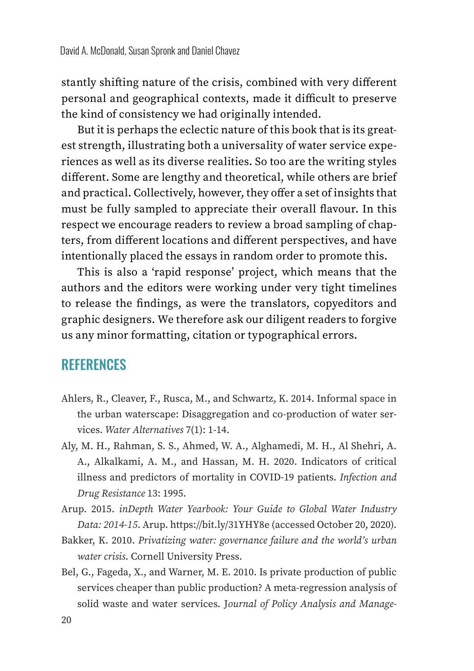stantly shifting nature of the crisis, combined with very different personal and geographical contexts, made it difficult to preserve the kind of consistency we had originally intended.

But it is perhaps the eclectic nature of this book that is its greatest strength, illustrating both a universality of water service experiences as well as its diverse realities. So too are the writing styles different. Some are lengthy and theoretical, while others are brief and practical. Collectively, however, they offer a set of insights that must be fully sampled to appreciate their overall flavour. In this respect we encourage readers to review a broad sampling of chapters, from different locations and different perspectives, and have intentionally placed the essays in random order to promote this.

This is also a 'rapid response' project, which means that the authors and the editors were working under very tight timelines to release the findings, as were the translators, copyeditors and graphic designers. We therefore ask our diligent readers to forgive us any minor formatting, citation or typographical errors.

#### **REFERENCES**

- Ahlers, R., Cleaver, F., Rusca, M., and Schwartz, K. 2014. Informal space in the urban waterscape: Disaggregation and co-production of water services. *Water Alternatives* 7(1): 1-14.
- Aly, M. H., Rahman, S. S., Ahmed, W. A., Alghamedi, M. H., Al Shehri, A. A., Alkalkami, A. M., and Hassan, M. H. 2020. Indicators of critical illness and predictors of mortality in COVID-19 patients. *Infection and Drug Resistance* 13: 1995.
- Arup. 2015. *inDepth Water Yearbook: Your Guide to Global Water Industry Data: 2014-15*. Arup. https://bit.ly/31YHY8e (accessed October 20, 2020).
- Bakker, K. 2010. *Privatizing water: governance failure and the world's urban water crisis*. Cornell University Press.
- Bel, G., Fageda, X., and Warner, M. E. 2010. Is private production of public services cheaper than public production? A meta-regression analysis of solid waste and water services. J*ournal of Policy Analysis and Manage-*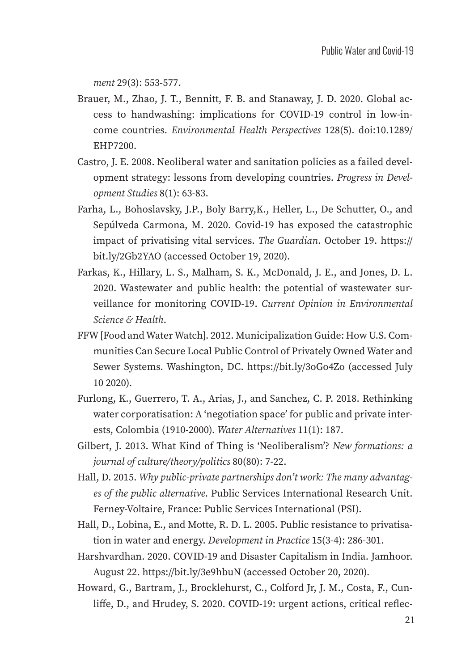*ment* 29(3): 553-577.

- Brauer, M., Zhao, J. T., Bennitt, F. B. and Stanaway, J. D. 2020. Global access to handwashing: implications for COVID-19 control in low-income countries. *Environmental Health Perspectives* 128(5). doi:10.1289/ EHP7200.
- Castro, J. E. 2008. Neoliberal water and sanitation policies as a failed development strategy: lessons from developing countries. *Progress in Development Studies* 8(1): 63-83.
- Farha, L., Bohoslavsky, J.P., Boly Barry,K., Heller, L., De Schutter, O., and Sepúlveda Carmona, M. 2020. Covid-19 has exposed the catastrophic impact of privatising vital services. *The Guardian*. October 19. https:// bit.ly/2Gb2YAO (accessed October 19, 2020).
- Farkas, K., Hillary, L. S., Malham, S. K., McDonald, J. E., and Jones, D. L. 2020. Wastewater and public health: the potential of wastewater surveillance for monitoring COVID-19. *Current Opinion in Environmental Science & Health*.
- FFW [Food and Water Watch]. 2012. Municipalization Guide: How U.S. Communities Can Secure Local Public Control of Privately Owned Water and Sewer Systems. Washington, DC. https://bit.ly/3oGo4Zo (accessed July 10 2020).
- Furlong, K., Guerrero, T. A., Arias, J., and Sanchez, C. P. 2018. Rethinking water corporatisation: A 'negotiation space' for public and private interests, Colombia (1910-2000). *Water Alternatives* 11(1): 187.
- Gilbert, J. 2013. What Kind of Thing is 'Neoliberalism'? *New formations: a journal of culture/theory/politics* 80(80): 7-22.
- Hall, D. 2015. *Why public-private partnerships don't work: The many advantages of the public alternative*. Public Services International Research Unit. Ferney-Voltaire, France: Public Services International (PSI).
- Hall, D., Lobina, E., and Motte, R. D. L. 2005. Public resistance to privatisation in water and energy. *Development in Practice* 15(3-4): 286-301.
- Harshvardhan. 2020. COVID-19 and Disaster Capitalism in India. Jamhoor. August 22. https://bit.ly/3e9hbuN (accessed October 20, 2020).
- Howard, G., Bartram, J., Brocklehurst, C., Colford Jr, J. M., Costa, F., Cunliffe, D., and Hrudey, S. 2020. COVID-19: urgent actions, critical reflec-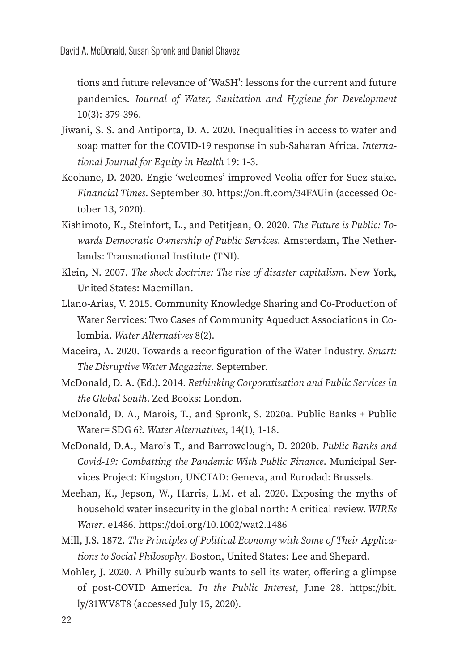tions and future relevance of 'WaSH': lessons for the current and future pandemics. *Journal of Water, Sanitation and Hygiene for Development* 10(3): 379-396.

- Jiwani, S. S. and Antiporta, D. A. 2020. Inequalities in access to water and soap matter for the COVID-19 response in sub-Saharan Africa. *International Journal for Equity in Health* 19: 1-3.
- Keohane, D. 2020. Engie 'welcomes' improved Veolia offer for Suez stake. *Financial Times*. September 30. https://on.%.com/34FAUin (accessed October 13, 2020).
- Kishimoto, K., Steinfort, L., and Petitjean, O. 2020. *The Future is Public: Towards Democratic Ownership of Public Services*. Amsterdam, The Netherlands: Transnational Institute (TNI).
- Klein, N. 2007. *The shock doctrine: The rise of disaster capitalism*. New York, United States: Macmillan.
- Llano-Arias, V. 2015. Community Knowledge Sharing and Co-Production of Water Services: Two Cases of Community Aqueduct Associations in Colombia. *Water Alternatives* 8(2).
- Maceira, A. 2020. Towards a reconfiguration of the Water Industry. *Smart: The Disruptive Water Magazine*. September.
- McDonald, D. A. (Ed.). 2014. *Rethinking Corporatization and Public Services in the Global South*. Zed Books: London.
- McDonald, D. A., Marois, T., and Spronk, S. 2020a. Public Banks + Public Water= SDG 6?. *Water Alternatives*, 14(1), 1-18.
- McDonald, D.A., Marois T., and Barrowclough, D. 2020b. *Public Banks and Covid-19: Combatting the Pandemic With Public Finance*. Municipal Services Project: Kingston, UNCTAD: Geneva, and Eurodad: Brussels.
- Meehan, K., Jepson, W., Harris, L.M. et al. 2020. Exposing the myths of household water insecurity in the global north: A critical review. *WIREs Water*. e1486. https://doi.org/10.1002/wat2.1486
- Mill, J.S. 1872. *The Principles of Political Economy with Some of Their Applications to Social Philosophy*. Boston, United States: Lee and Shepard.
- Mohler, J. 2020. A Philly suburb wants to sell its water, offering a glimpse of post-COVID America. *In the Public Interest*, June 28. https://bit. ly/31WV8T8 (accessed July 15, 2020).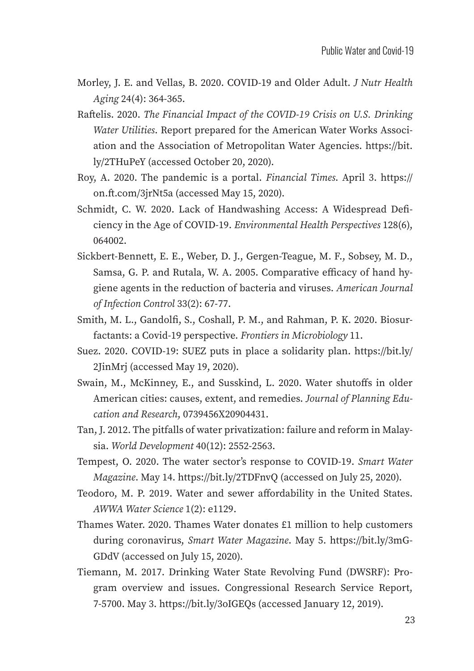- Morley, J. E. and Vellas, B. 2020. COVID-19 and Older Adult. *J Nutr Health Aging* 24(4): 364-365.
- Raftelis. 2020. *The Financial Impact of the COVID-19 Crisis on U.S. Drinking Water Utilities*. Report prepared for the American Water Works Association and the Association of Metropolitan Water Agencies. https://bit. ly/2THuPeY (accessed October 20, 2020).
- Roy, A. 2020. The pandemic is a portal. *Financial Times*. April 3. https:// on.ft.com/3jrNt5a (accessed May 15, 2020).
- Schmidt, C. W. 2020. Lack of Handwashing Access: A Widespread Deficiency in the Age of COVID-19. *Environmental Health Perspectives* 128(6), 064002.
- Sickbert-Bennett, E. E., Weber, D. J., Gergen-Teague, M. F., Sobsey, M. D., Samsa, G. P. and Rutala, W. A. 2005. Comparative efficacy of hand hygiene agents in the reduction of bacteria and viruses. *American Journal of Infection Control* 33(2): 67-77.
- Smith, M. L., Gandolfi, S., Coshall, P. M., and Rahman, P. K. 2020. Biosurfactants: a Covid-19 perspective. *Frontiers in Microbiology* 11.
- Suez. 2020. COVID-19: SUEZ puts in place a solidarity plan. https://bit.ly/ 2JinMrj (accessed May 19, 2020).
- Swain, M., McKinney, E., and Susskind, L. 2020. Water shutoffs in older American cities: causes, extent, and remedies. *Journal of Planning Education and Research*, 0739456X20904431.
- Tan, J. 2012. The pitfalls of water privatization: failure and reform in Malaysia. *World Development* 40(12): 2552-2563.
- Tempest, O. 2020. The water sector's response to COVID-19. *Smart Water Magazine*. May 14. https://bit.ly/2TDFnvQ (accessed on July 25, 2020).
- Teodoro, M. P. 2019. Water and sewer affordability in the United States. *AWWA Water Science* 1(2): e1129.
- Thames Water. 2020. Thames Water donates £1 million to help customers during coronavirus, *Smart Water Magazine*. May 5. https://bit.ly/3mG-GDdV (accessed on July 15, 2020).
- Tiemann, M. 2017. Drinking Water State Revolving Fund (DWSRF): Program overview and issues. Congressional Research Service Report, 7-5700. May 3. https://bit.ly/3oIGEQs (accessed January 12, 2019).